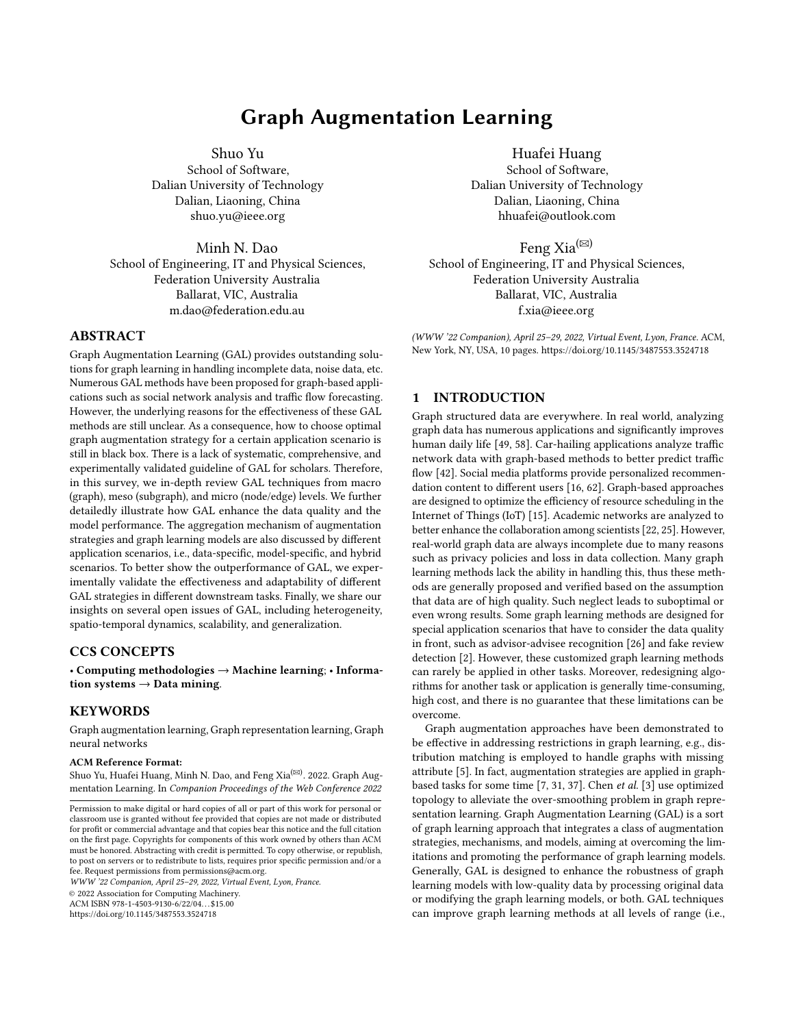# Graph Augmentation Learning

Shuo Yu School of Software, Dalian University of Technology Dalian, Liaoning, China shuo.yu@ieee.org

Minh N. Dao School of Engineering, IT and Physical Sciences, Federation University Australia Ballarat, VIC, Australia m.dao@federation.edu.au

## ABSTRACT

Graph Augmentation Learning (GAL) provides outstanding solutions for graph learning in handling incomplete data, noise data, etc. Numerous GAL methods have been proposed for graph-based applications such as social network analysis and traffic flow forecasting. However, the underlying reasons for the effectiveness of these GAL methods are still unclear. As a consequence, how to choose optimal graph augmentation strategy for a certain application scenario is still in black box. There is a lack of systematic, comprehensive, and experimentally validated guideline of GAL for scholars. Therefore, in this survey, we in-depth review GAL techniques from macro (graph), meso (subgraph), and micro (node/edge) levels. We further detailedly illustrate how GAL enhance the data quality and the model performance. The aggregation mechanism of augmentation strategies and graph learning models are also discussed by different application scenarios, i.e., data-specific, model-specific, and hybrid scenarios. To better show the outperformance of GAL, we experimentally validate the effectiveness and adaptability of different GAL strategies in different downstream tasks. Finally, we share our insights on several open issues of GAL, including heterogeneity, spatio-temporal dynamics, scalability, and generalization.

## CCS CONCEPTS

• Computing methodologies → Machine learning; • Information systems  $\rightarrow$  Data mining.

#### **KEYWORDS**

Graph augmentation learning, Graph representation learning, Graph neural networks

#### ACM Reference Format:

Shuo Yu, Huafei Huang, Minh N. Dao, and Feng Xia<sup>(⊠)</sup>. 2022. Graph Augmentation Learning. In Companion Proceedings of the Web Conference 2022

WWW '22 Companion, April 25–29, 2022, Virtual Event, Lyon, France.

© 2022 Association for Computing Machinery.

ACM ISBN 978-1-4503-9130-6/22/04. . . \$15.00

<https://doi.org/10.1145/3487553.3524718>

Huafei Huang School of Software, Dalian University of Technology Dalian, Liaoning, China hhuafei@outlook.com

Feng Xia<sup>( $\boxtimes$ )</sup> School of Engineering, IT and Physical Sciences, Federation University Australia Ballarat, VIC, Australia f.xia@ieee.org

(WWW '22 Companion), April 25–29, 2022, Virtual Event, Lyon, France. ACM, New York, NY, USA, [10](#page-9-0) pages.<https://doi.org/10.1145/3487553.3524718>

### 1 INTRODUCTION

Graph structured data are everywhere. In real world, analyzing graph data has numerous applications and significantly improves human daily life [\[49,](#page-8-0) [58\]](#page-9-1). Car-hailing applications analyze traffic network data with graph-based methods to better predict traffic flow [\[42\]](#page-8-1). Social media platforms provide personalized recommendation content to different users [\[16,](#page-8-2) [62\]](#page-9-2). Graph-based approaches are designed to optimize the efficiency of resource scheduling in the Internet of Things (IoT) [\[15\]](#page-8-3). Academic networks are analyzed to better enhance the collaboration among scientists [\[22,](#page-8-4) [25\]](#page-8-5). However, real-world graph data are always incomplete due to many reasons such as privacy policies and loss in data collection. Many graph learning methods lack the ability in handling this, thus these methods are generally proposed and verified based on the assumption that data are of high quality. Such neglect leads to suboptimal or even wrong results. Some graph learning methods are designed for special application scenarios that have to consider the data quality in front, such as advisor-advisee recognition [\[26\]](#page-8-6) and fake review detection [\[2\]](#page-8-7). However, these customized graph learning methods can rarely be applied in other tasks. Moreover, redesigning algorithms for another task or application is generally time-consuming, high cost, and there is no guarantee that these limitations can be overcome.

Graph augmentation approaches have been demonstrated to be effective in addressing restrictions in graph learning, e.g., distribution matching is employed to handle graphs with missing attribute [\[5\]](#page-8-8). In fact, augmentation strategies are applied in graphbased tasks for some time [\[7,](#page-8-9) [31,](#page-8-10) [37\]](#page-8-11). Chen et al. [\[3\]](#page-8-12) use optimized topology to alleviate the over-smoothing problem in graph representation learning. Graph Augmentation Learning (GAL) is a sort of graph learning approach that integrates a class of augmentation strategies, mechanisms, and models, aiming at overcoming the limitations and promoting the performance of graph learning models. Generally, GAL is designed to enhance the robustness of graph learning models with low-quality data by processing original data or modifying the graph learning models, or both. GAL techniques can improve graph learning methods at all levels of range (i.e.,

Permission to make digital or hard copies of all or part of this work for personal or classroom use is granted without fee provided that copies are not made or distributed for profit or commercial advantage and that copies bear this notice and the full citation on the first page. Copyrights for components of this work owned by others than ACM must be honored. Abstracting with credit is permitted. To copy otherwise, or republish, to post on servers or to redistribute to lists, requires prior specific permission and/or a fee. Request permissions from permissions@acm.org.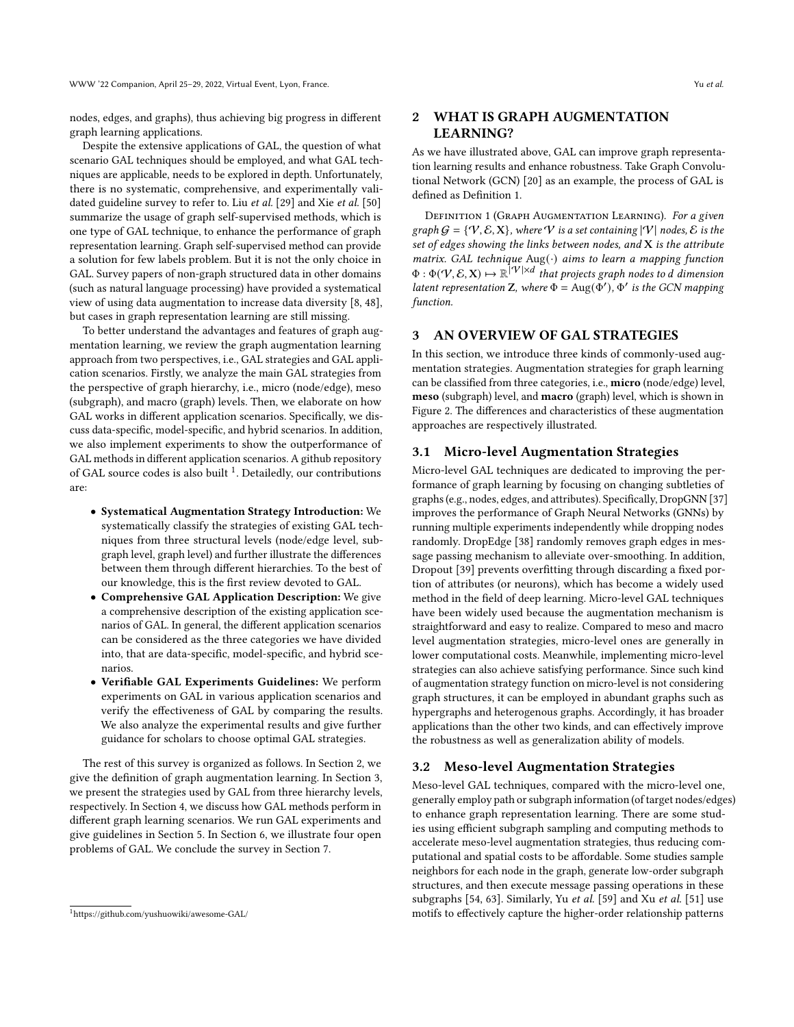nodes, edges, and graphs), thus achieving big progress in different graph learning applications.

Despite the extensive applications of GAL, the question of what scenario GAL techniques should be employed, and what GAL techniques are applicable, needs to be explored in depth. Unfortunately, there is no systematic, comprehensive, and experimentally vali-dated guideline survey to refer to. Liu et al. [\[29\]](#page-8-13) and Xie et al. [\[50\]](#page-9-3) summarize the usage of graph self-supervised methods, which is one type of GAL technique, to enhance the performance of graph representation learning. Graph self-supervised method can provide a solution for few labels problem. But it is not the only choice in GAL. Survey papers of non-graph structured data in other domains (such as natural language processing) have provided a systematical view of using data augmentation to increase data diversity [\[8,](#page-8-14) [48\]](#page-8-15), but cases in graph representation learning are still missing.

To better understand the advantages and features of graph augmentation learning, we review the graph augmentation learning approach from two perspectives, i.e., GAL strategies and GAL application scenarios. Firstly, we analyze the main GAL strategies from the perspective of graph hierarchy, i.e., micro (node/edge), meso (subgraph), and macro (graph) levels. Then, we elaborate on how GAL works in different application scenarios. Specifically, we discuss data-specific, model-specific, and hybrid scenarios. In addition, we also implement experiments to show the outperformance of GAL methods in different application scenarios. A github repository of GAL source codes is also built <sup>[1](#page-1-0)</sup>. Detailedly, our contributions are:

- Systematical Augmentation Strategy Introduction: We systematically classify the strategies of existing GAL techniques from three structural levels (node/edge level, subgraph level, graph level) and further illustrate the differences between them through different hierarchies. To the best of our knowledge, this is the first review devoted to GAL.
- Comprehensive GAL Application Description: We give a comprehensive description of the existing application scenarios of GAL. In general, the different application scenarios can be considered as the three categories we have divided into, that are data-specific, model-specific, and hybrid scenarios.
- Verifiable GAL Experiments Guidelines: We perform experiments on GAL in various application scenarios and verify the effectiveness of GAL by comparing the results. We also analyze the experimental results and give further guidance for scholars to choose optimal GAL strategies.

The rest of this survey is organized as follows. In Section [2,](#page-1-1) we give the definition of graph augmentation learning. In Section [3,](#page-1-2) we present the strategies used by GAL from three hierarchy levels, respectively. In Section [4,](#page-2-0) we discuss how GAL methods perform in different graph learning scenarios. We run GAL experiments and give guidelines in Section [5.](#page-6-0) In Section [6,](#page-7-0) we illustrate four open problems of GAL. We conclude the survey in Section [7.](#page-7-1)

## <span id="page-1-1"></span>2 WHAT IS GRAPH AUGMENTATION LEARNING?

As we have illustrated above, GAL can improve graph representation learning results and enhance robustness. Take Graph Convolutional Network (GCN) [\[20\]](#page-8-16) as an example, the process of GAL is defined as Definition [1.](#page-1-3)

<span id="page-1-3"></span>DEFINITION 1 (GRAPH AUGMENTATION LEARNING). For a given graph  $G = \{V, \mathcal{E}, X\}$ , where V is a set containing  $|V|$  nodes,  $\mathcal{E}$  is the set of edges showing the links between nodes, and X is the attribute matrix. GAL technique  $Aug(\cdot)$  aims to learn a mapping function  $\Phi : \Phi(V, \mathcal{E}, \mathbf{X}) \mapsto \mathbb{R}^{\vert V \vert \times d}$  that projects graph nodes to d dimension latent representation Z, where  $\Phi = \text{Aug}(\Phi'), \Phi'$  is the GCN mapping function.

## <span id="page-1-2"></span>3 AN OVERVIEW OF GAL STRATEGIES

In this section, we introduce three kinds of commonly-used augmentation strategies. Augmentation strategies for graph learning can be classified from three categories, i.e., micro (node/edge) level, meso (subgraph) level, and macro (graph) level, which is shown in Figure [2.](#page-3-0) The differences and characteristics of these augmentation approaches are respectively illustrated.

#### 3.1 Micro-level Augmentation Strategies

Micro-level GAL techniques are dedicated to improving the performance of graph learning by focusing on changing subtleties of graphs (e.g., nodes, edges, and attributes). Specifically, DropGNN [\[37\]](#page-8-11) improves the performance of Graph Neural Networks (GNNs) by running multiple experiments independently while dropping nodes randomly. DropEdge [\[38\]](#page-8-17) randomly removes graph edges in message passing mechanism to alleviate over-smoothing. In addition, Dropout [\[39\]](#page-8-18) prevents overfitting through discarding a fixed portion of attributes (or neurons), which has become a widely used method in the field of deep learning. Micro-level GAL techniques have been widely used because the augmentation mechanism is straightforward and easy to realize. Compared to meso and macro level augmentation strategies, micro-level ones are generally in lower computational costs. Meanwhile, implementing micro-level strategies can also achieve satisfying performance. Since such kind of augmentation strategy function on micro-level is not considering graph structures, it can be employed in abundant graphs such as hypergraphs and heterogenous graphs. Accordingly, it has broader applications than the other two kinds, and can effectively improve the robustness as well as generalization ability of models.

#### 3.2 Meso-level Augmentation Strategies

Meso-level GAL techniques, compared with the micro-level one, generally employ path or subgraph information (of target nodes/edges) to enhance graph representation learning. There are some studies using efficient subgraph sampling and computing methods to accelerate meso-level augmentation strategies, thus reducing computational and spatial costs to be affordable. Some studies sample neighbors for each node in the graph, generate low-order subgraph structures, and then execute message passing operations in these subgraphs [\[54,](#page-9-4) [63\]](#page-9-5). Similarly, Yu et al. [\[59\]](#page-9-6) and Xu et al. [\[51\]](#page-9-7) use motifs to effectively capture the higher-order relationship patterns

<span id="page-1-0"></span><sup>1</sup>https://github.com/yushuowiki/awesome-GAL/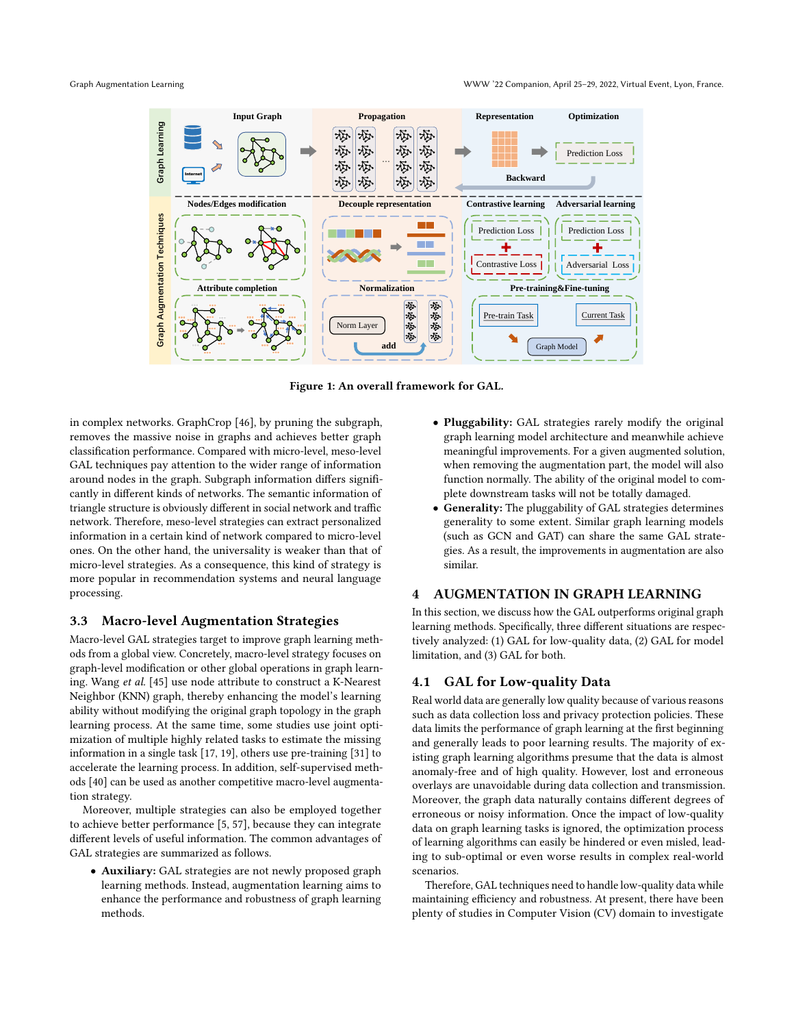

Figure 1: An overall framework for GAL.

in complex networks. GraphCrop [\[46\]](#page-8-19), by pruning the subgraph, removes the massive noise in graphs and achieves better graph classification performance. Compared with micro-level, meso-level GAL techniques pay attention to the wider range of information around nodes in the graph. Subgraph information differs significantly in different kinds of networks. The semantic information of triangle structure is obviously different in social network and traffic network. Therefore, meso-level strategies can extract personalized information in a certain kind of network compared to micro-level ones. On the other hand, the universality is weaker than that of micro-level strategies. As a consequence, this kind of strategy is more popular in recommendation systems and neural language processing.

## 3.3 Macro-level Augmentation Strategies

Macro-level GAL strategies target to improve graph learning methods from a global view. Concretely, macro-level strategy focuses on graph-level modification or other global operations in graph learning. Wang et al. [\[45\]](#page-8-20) use node attribute to construct a K-Nearest Neighbor (KNN) graph, thereby enhancing the model's learning ability without modifying the original graph topology in the graph learning process. At the same time, some studies use joint optimization of multiple highly related tasks to estimate the missing information in a single task [\[17,](#page-8-21) [19\]](#page-8-22), others use pre-training [\[31\]](#page-8-10) to accelerate the learning process. In addition, self-supervised methods [\[40\]](#page-8-23) can be used as another competitive macro-level augmentation strategy.

Moreover, multiple strategies can also be employed together to achieve better performance [\[5,](#page-8-8) [57\]](#page-9-8), because they can integrate different levels of useful information. The common advantages of GAL strategies are summarized as follows.

• Auxiliary: GAL strategies are not newly proposed graph learning methods. Instead, augmentation learning aims to enhance the performance and robustness of graph learning methods.

- Pluggability: GAL strategies rarely modify the original graph learning model architecture and meanwhile achieve meaningful improvements. For a given augmented solution, when removing the augmentation part, the model will also function normally. The ability of the original model to complete downstream tasks will not be totally damaged.
- Generality: The pluggability of GAL strategies determines generality to some extent. Similar graph learning models (such as GCN and GAT) can share the same GAL strategies. As a result, the improvements in augmentation are also similar.

## <span id="page-2-0"></span>4 AUGMENTATION IN GRAPH LEARNING

In this section, we discuss how the GAL outperforms original graph learning methods. Specifically, three different situations are respectively analyzed: (1) GAL for low-quality data, (2) GAL for model limitation, and (3) GAL for both.

### 4.1 GAL for Low-quality Data

Real world data are generally low quality because of various reasons such as data collection loss and privacy protection policies. These data limits the performance of graph learning at the first beginning and generally leads to poor learning results. The majority of existing graph learning algorithms presume that the data is almost anomaly-free and of high quality. However, lost and erroneous overlays are unavoidable during data collection and transmission. Moreover, the graph data naturally contains different degrees of erroneous or noisy information. Once the impact of low-quality data on graph learning tasks is ignored, the optimization process of learning algorithms can easily be hindered or even misled, leading to sub-optimal or even worse results in complex real-world scenarios.

Therefore, GAL techniques need to handle low-quality data while maintaining efficiency and robustness. At present, there have been plenty of studies in Computer Vision (CV) domain to investigate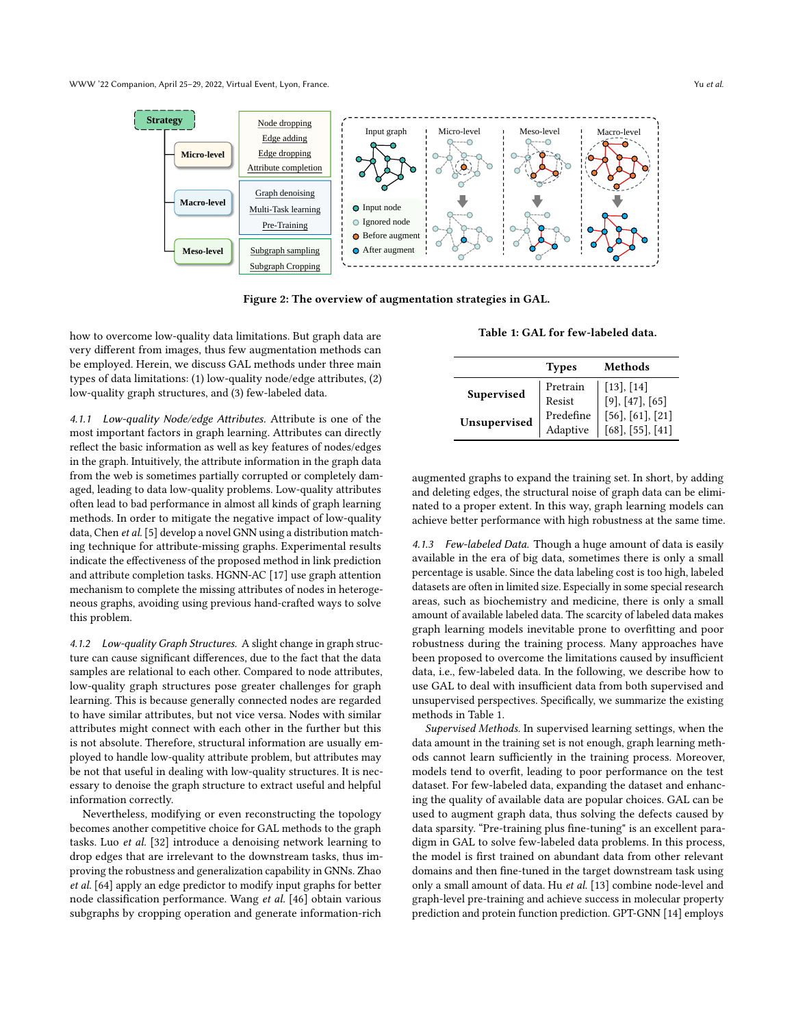<span id="page-3-0"></span>

Figure 2: The overview of augmentation strategies in GAL.

how to overcome low-quality data limitations. But graph data are very different from images, thus few augmentation methods can be employed. Herein, we discuss GAL methods under three main types of data limitations: (1) low-quality node/edge attributes, (2) low-quality graph structures, and (3) few-labeled data.

4.1.1 Low-quality Node/edge Attributes. Attribute is one of the most important factors in graph learning. Attributes can directly reflect the basic information as well as key features of nodes/edges in the graph. Intuitively, the attribute information in the graph data from the web is sometimes partially corrupted or completely damaged, leading to data low-quality problems. Low-quality attributes often lead to bad performance in almost all kinds of graph learning methods. In order to mitigate the negative impact of low-quality data, Chen et al. [\[5\]](#page-8-8) develop a novel GNN using a distribution matching technique for attribute-missing graphs. Experimental results indicate the effectiveness of the proposed method in link prediction and attribute completion tasks. HGNN-AC [\[17\]](#page-8-21) use graph attention mechanism to complete the missing attributes of nodes in heterogeneous graphs, avoiding using previous hand-crafted ways to solve this problem.

4.1.2 Low-quality Graph Structures. A slight change in graph structure can cause significant differences, due to the fact that the data samples are relational to each other. Compared to node attributes, low-quality graph structures pose greater challenges for graph learning. This is because generally connected nodes are regarded to have similar attributes, but not vice versa. Nodes with similar attributes might connect with each other in the further but this is not absolute. Therefore, structural information are usually employed to handle low-quality attribute problem, but attributes may be not that useful in dealing with low-quality structures. It is necessary to denoise the graph structure to extract useful and helpful information correctly.

Nevertheless, modifying or even reconstructing the topology becomes another competitive choice for GAL methods to the graph tasks. Luo et al. [\[32\]](#page-8-24) introduce a denoising network learning to drop edges that are irrelevant to the downstream tasks, thus improving the robustness and generalization capability in GNNs. Zhao et al. [\[64\]](#page-9-9) apply an edge predictor to modify input graphs for better node classification performance. Wang et al. [\[46\]](#page-8-19) obtain various subgraphs by cropping operation and generate information-rich

Table 1: GAL for few-labeled data.

<span id="page-3-1"></span>

|              | <b>Types</b>          | Methods                                         |
|--------------|-----------------------|-------------------------------------------------|
| Supervised   | Pretrain<br>Resist    | [13], [14]<br>[9], [47], [65]                   |
| Unsupervised | Predefine<br>Adaptive | $[56]$ , $[61]$ , $[21]$<br>$[68]$ , [55], [41] |

augmented graphs to expand the training set. In short, by adding and deleting edges, the structural noise of graph data can be eliminated to a proper extent. In this way, graph learning models can achieve better performance with high robustness at the same time.

4.1.3 Few-labeled Data. Though a huge amount of data is easily available in the era of big data, sometimes there is only a small percentage is usable. Since the data labeling cost is too high, labeled datasets are often in limited size. Especially in some special research areas, such as biochemistry and medicine, there is only a small amount of available labeled data. The scarcity of labeled data makes graph learning models inevitable prone to overfitting and poor robustness during the training process. Many approaches have been proposed to overcome the limitations caused by insufficient data, i.e., few-labeled data. In the following, we describe how to use GAL to deal with insufficient data from both supervised and unsupervised perspectives. Specifically, we summarize the existing methods in Table [1.](#page-3-1)

Supervised Methods. In supervised learning settings, when the data amount in the training set is not enough, graph learning methods cannot learn sufficiently in the training process. Moreover, models tend to overfit, leading to poor performance on the test dataset. For few-labeled data, expanding the dataset and enhancing the quality of available data are popular choices. GAL can be used to augment graph data, thus solving the defects caused by data sparsity. "Pre-training plus fine-tuning" is an excellent paradigm in GAL to solve few-labeled data problems. In this process, the model is first trained on abundant data from other relevant domains and then fine-tuned in the target downstream task using only a small amount of data. Hu et al. [\[13\]](#page-8-25) combine node-level and graph-level pre-training and achieve success in molecular property prediction and protein function prediction. GPT-GNN [\[14\]](#page-8-26) employs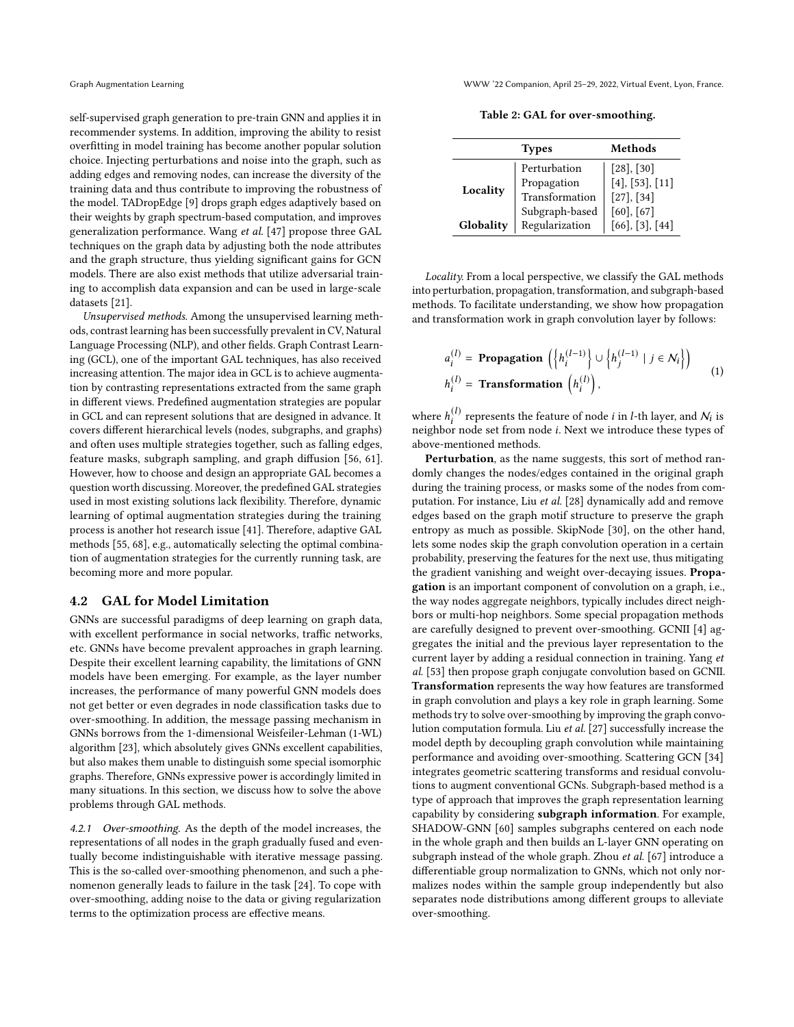self-supervised graph generation to pre-train GNN and applies it in recommender systems. In addition, improving the ability to resist overfitting in model training has become another popular solution choice. Injecting perturbations and noise into the graph, such as adding edges and removing nodes, can increase the diversity of the training data and thus contribute to improving the robustness of the model. TADropEdge [\[9\]](#page-8-27) drops graph edges adaptively based on their weights by graph spectrum-based computation, and improves generalization performance. Wang et al. [\[47\]](#page-8-28) propose three GAL techniques on the graph data by adjusting both the node attributes and the graph structure, thus yielding significant gains for GCN models. There are also exist methods that utilize adversarial training to accomplish data expansion and can be used in large-scale datasets [\[21\]](#page-8-29).

Unsupervised methods. Among the unsupervised learning methods, contrast learning has been successfully prevalent in CV, Natural Language Processing (NLP), and other fields. Graph Contrast Learning (GCL), one of the important GAL techniques, has also received increasing attention. The major idea in GCL is to achieve augmentation by contrasting representations extracted from the same graph in different views. Predefined augmentation strategies are popular in GCL and can represent solutions that are designed in advance. It covers different hierarchical levels (nodes, subgraphs, and graphs) and often uses multiple strategies together, such as falling edges, feature masks, subgraph sampling, and graph diffusion [\[56,](#page-9-11) [61\]](#page-9-12). However, how to choose and design an appropriate GAL becomes a question worth discussing. Moreover, the predefined GAL strategies used in most existing solutions lack flexibility. Therefore, dynamic learning of optimal augmentation strategies during the training process is another hot research issue [\[41\]](#page-8-30). Therefore, adaptive GAL methods [\[55,](#page-9-14) [68\]](#page-9-13), e.g., automatically selecting the optimal combination of augmentation strategies for the currently running task, are becoming more and more popular.

#### 4.2 GAL for Model Limitation

GNNs are successful paradigms of deep learning on graph data, with excellent performance in social networks, traffic networks, etc. GNNs have become prevalent approaches in graph learning. Despite their excellent learning capability, the limitations of GNN models have been emerging. For example, as the layer number increases, the performance of many powerful GNN models does not get better or even degrades in node classification tasks due to over-smoothing. In addition, the message passing mechanism in GNNs borrows from the 1-dimensional Weisfeiler-Lehman (1-WL) algorithm [\[23\]](#page-8-31), which absolutely gives GNNs excellent capabilities, but also makes them unable to distinguish some special isomorphic graphs. Therefore, GNNs expressive power is accordingly limited in many situations. In this section, we discuss how to solve the above problems through GAL methods.

4.2.1 Over-smoothing. As the depth of the model increases, the representations of all nodes in the graph gradually fused and eventually become indistinguishable with iterative message passing. This is the so-called over-smoothing phenomenon, and such a phenomenon generally leads to failure in the task [\[24\]](#page-8-32). To cope with over-smoothing, adding noise to the data or giving regularization terms to the optimization process are effective means.

Table 2: GAL for over-smoothing.

| <b>Types</b> |                                               | Methods                                          |
|--------------|-----------------------------------------------|--------------------------------------------------|
| Locality     | Perturbation<br>Propagation<br>Transformation | $[28]$ , $[30]$<br>[4], [53], [11]<br>[27], [34] |
| Globality    | Subgraph-based<br>Regularization              | $[60]$ , $[67]$<br>$[66]$ , $[3]$ , $[44]$       |

Locality. From a local perspective, we classify the GAL methods into perturbation, propagation, transformation, and subgraph-based methods. To facilitate understanding, we show how propagation and transformation work in graph convolution layer by follows:

$$
a_i^{(l)} = \text{Propagation}\left(\left\{h_i^{(l-1)}\right\} \cup \left\{h_j^{(l-1)} \mid j \in \mathcal{N}_i\right\}\right)
$$
  

$$
h_i^{(l)} = \text{Transformation}\left(h_i^{(l)}\right),\tag{1}
$$

where  $h_i^{(l)}$  represents the feature of node  $i$  in  $l$ -th layer, and  $\mathcal{N}_i$  is neighbor node set from node *i*. Next we introduce these types of above-mentioned methods.

Perturbation, as the name suggests, this sort of method randomly changes the nodes/edges contained in the original graph during the training process, or masks some of the nodes from computation. For instance, Liu et al. [\[28\]](#page-8-33) dynamically add and remove edges based on the graph motif structure to preserve the graph entropy as much as possible. SkipNode [\[30\]](#page-8-34), on the other hand, lets some nodes skip the graph convolution operation in a certain probability, preserving the features for the next use, thus mitigating the gradient vanishing and weight over-decaying issues. Propagation is an important component of convolution on a graph, i.e., the way nodes aggregate neighbors, typically includes direct neighbors or multi-hop neighbors. Some special propagation methods are carefully designed to prevent over-smoothing. GCNII [\[4\]](#page-8-35) aggregates the initial and the previous layer representation to the current layer by adding a residual connection in training. Yang et al. [\[53\]](#page-9-15) then propose graph conjugate convolution based on GCNII. Transformation represents the way how features are transformed in graph convolution and plays a key role in graph learning. Some methods try to solve over-smoothing by improving the graph convolution computation formula. Liu et al. [\[27\]](#page-8-37) successfully increase the model depth by decoupling graph convolution while maintaining performance and avoiding over-smoothing. Scattering GCN [\[34\]](#page-8-38) integrates geometric scattering transforms and residual convolutions to augment conventional GCNs. Subgraph-based method is a type of approach that improves the graph representation learning capability by considering subgraph information. For example, SHADOW-GNN [\[60\]](#page-9-16) samples subgraphs centered on each node in the whole graph and then builds an L-layer GNN operating on subgraph instead of the whole graph. Zhou et al. [\[67\]](#page-9-17) introduce a differentiable group normalization to GNNs, which not only normalizes nodes within the sample group independently but also separates node distributions among different groups to alleviate over-smoothing.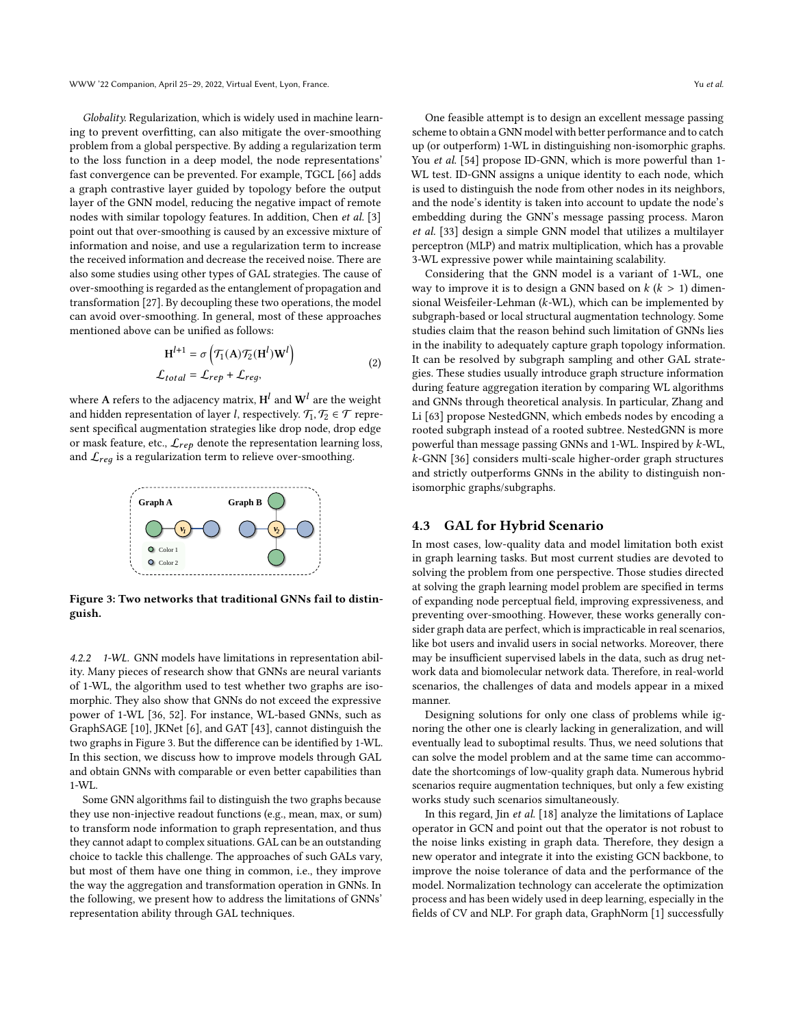Globality. Regularization, which is widely used in machine learning to prevent overfitting, can also mitigate the over-smoothing problem from a global perspective. By adding a regularization term to the loss function in a deep model, the node representations' fast convergence can be prevented. For example, TGCL [\[66\]](#page-9-18) adds a graph contrastive layer guided by topology before the output layer of the GNN model, reducing the negative impact of remote nodes with similar topology features. In addition, Chen et al. [\[3\]](#page-8-12) point out that over-smoothing is caused by an excessive mixture of information and noise, and use a regularization term to increase the received information and decrease the received noise. There are also some studies using other types of GAL strategies. The cause of over-smoothing is regarded as the entanglement of propagation and transformation [\[27\]](#page-8-37). By decoupling these two operations, the model can avoid over-smoothing. In general, most of these approaches mentioned above can be unified as follows:

$$
\mathbf{H}^{l+1} = \sigma \left( \mathcal{T}_1(\mathbf{A}) \mathcal{T}_2(\mathbf{H}^l) \mathbf{W}^l \right)
$$
  

$$
\mathcal{L}_{total} = \mathcal{L}_{rep} + \mathcal{L}_{reg},
$$
 (2)

where  ${\rm A}$  refers to the adjacency matrix,  ${\rm H}^{l}$  and  ${\rm W}^{l}$  are the weight and hidden representation of layer *l*, respectively.  $\mathcal{T}_1, \mathcal{T}_2 \in \mathcal{T}$  represent specifical augmentation strategies like drop node, drop edge or mask feature, etc.,  $\mathcal{L}_{rep}$  denote the representation learning loss, and  $\mathcal{L}_{req}$  is a regularization term to relieve over-smoothing.

<span id="page-5-0"></span>

Figure 3: Two networks that traditional GNNs fail to distinguish.

4.2.2 1-WL. GNN models have limitations in representation ability. Many pieces of research show that GNNs are neural variants of 1-WL, the algorithm used to test whether two graphs are isomorphic. They also show that GNNs do not exceed the expressive power of 1-WL [\[36,](#page-8-40) [52\]](#page-9-19). For instance, WL-based GNNs, such as GraphSAGE [\[10\]](#page-8-41), JKNet [\[6\]](#page-8-42), and GAT [\[43\]](#page-8-43), cannot distinguish the two graphs in Figure [3.](#page-5-0) But the difference can be identified by 1-WL. In this section, we discuss how to improve models through GAL and obtain GNNs with comparable or even better capabilities than 1-WL.

Some GNN algorithms fail to distinguish the two graphs because they use non-injective readout functions (e.g., mean, max, or sum) to transform node information to graph representation, and thus they cannot adapt to complex situations. GAL can be an outstanding choice to tackle this challenge. The approaches of such GALs vary, but most of them have one thing in common, i.e., they improve the way the aggregation and transformation operation in GNNs. In the following, we present how to address the limitations of GNNs' representation ability through GAL techniques.

One feasible attempt is to design an excellent message passing scheme to obtain a GNN model with better performance and to catch up (or outperform) 1-WL in distinguishing non-isomorphic graphs. You et al. [\[54\]](#page-9-4) propose ID-GNN, which is more powerful than 1-WL test. ID-GNN assigns a unique identity to each node, which is used to distinguish the node from other nodes in its neighbors, and the node's identity is taken into account to update the node's embedding during the GNN's message passing process. Maron et al. [\[33\]](#page-8-44) design a simple GNN model that utilizes a multilayer perceptron (MLP) and matrix multiplication, which has a provable 3-WL expressive power while maintaining scalability.

Considering that the GNN model is a variant of 1-WL, one way to improve it is to design a GNN based on  $k (k > 1)$  dimensional Weisfeiler-Lehman ( $k$ -WL), which can be implemented by subgraph-based or local structural augmentation technology. Some studies claim that the reason behind such limitation of GNNs lies in the inability to adequately capture graph topology information. It can be resolved by subgraph sampling and other GAL strategies. These studies usually introduce graph structure information during feature aggregation iteration by comparing WL algorithms and GNNs through theoretical analysis. In particular, Zhang and Li [\[63\]](#page-9-5) propose NestedGNN, which embeds nodes by encoding a rooted subgraph instead of a rooted subtree. NestedGNN is more powerful than message passing GNNs and  $1-WL$ . Inspired by  $k-WL$ , -GNN [\[36\]](#page-8-40) considers multi-scale higher-order graph structures and strictly outperforms GNNs in the ability to distinguish nonisomorphic graphs/subgraphs.

#### 4.3 GAL for Hybrid Scenario

In most cases, low-quality data and model limitation both exist in graph learning tasks. But most current studies are devoted to solving the problem from one perspective. Those studies directed at solving the graph learning model problem are specified in terms of expanding node perceptual field, improving expressiveness, and preventing over-smoothing. However, these works generally consider graph data are perfect, which is impracticable in real scenarios, like bot users and invalid users in social networks. Moreover, there may be insufficient supervised labels in the data, such as drug network data and biomolecular network data. Therefore, in real-world scenarios, the challenges of data and models appear in a mixed manner.

Designing solutions for only one class of problems while ignoring the other one is clearly lacking in generalization, and will eventually lead to suboptimal results. Thus, we need solutions that can solve the model problem and at the same time can accommodate the shortcomings of low-quality graph data. Numerous hybrid scenarios require augmentation techniques, but only a few existing works study such scenarios simultaneously.

In this regard, Jin et al. [\[18\]](#page-8-45) analyze the limitations of Laplace operator in GCN and point out that the operator is not robust to the noise links existing in graph data. Therefore, they design a new operator and integrate it into the existing GCN backbone, to improve the noise tolerance of data and the performance of the model. Normalization technology can accelerate the optimization process and has been widely used in deep learning, especially in the fields of CV and NLP. For graph data, GraphNorm [\[1\]](#page-8-46) successfully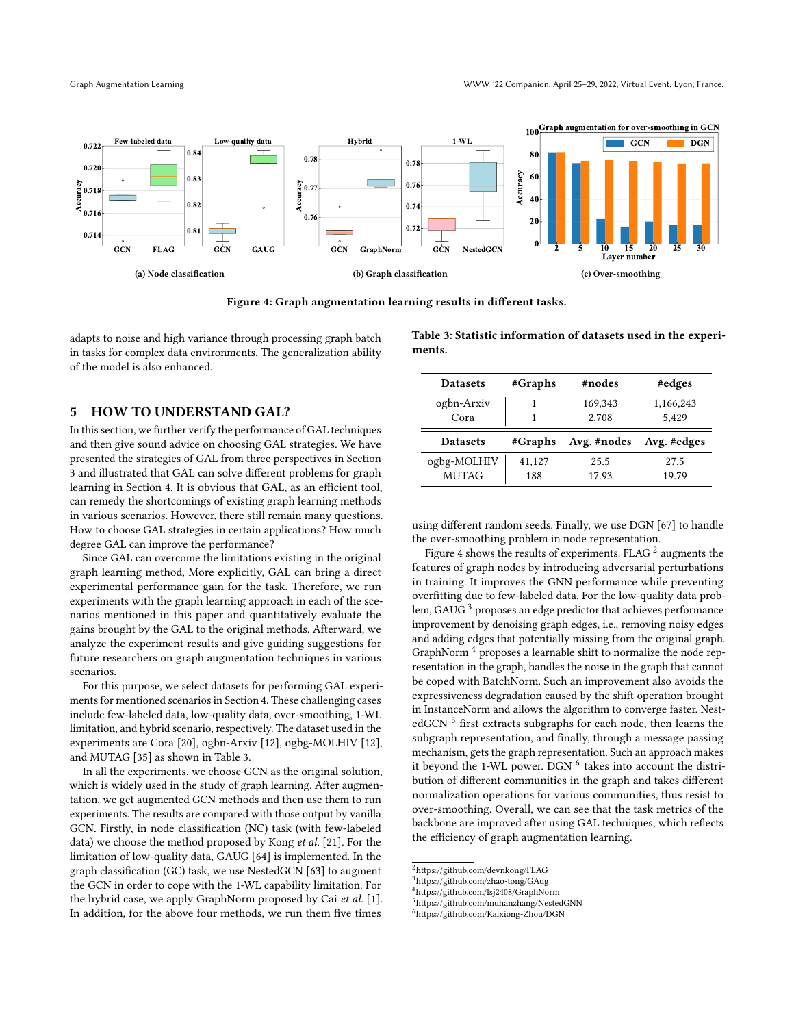<span id="page-6-2"></span>

Figure 4: Graph augmentation learning results in different tasks.

adapts to noise and high variance through processing graph batch in tasks for complex data environments. The generalization ability of the model is also enhanced.

#### <span id="page-6-0"></span>5 HOW TO UNDERSTAND GAL?

In this section, we further verify the performance of GAL techniques and then give sound advice on choosing GAL strategies. We have presented the strategies of GAL from three perspectives in Section [3](#page-1-2) and illustrated that GAL can solve different problems for graph learning in Section [4.](#page-2-0) It is obvious that GAL, as an efficient tool, can remedy the shortcomings of existing graph learning methods in various scenarios. However, there still remain many questions. How to choose GAL strategies in certain applications? How much degree GAL can improve the performance?

Since GAL can overcome the limitations existing in the original graph learning method, More explicitly, GAL can bring a direct experimental performance gain for the task. Therefore, we run experiments with the graph learning approach in each of the scenarios mentioned in this paper and quantitatively evaluate the gains brought by the GAL to the original methods. Afterward, we analyze the experiment results and give guiding suggestions for future researchers on graph augmentation techniques in various scenarios.

For this purpose, we select datasets for performing GAL experiments for mentioned scenarios in Section [4.](#page-2-0) These challenging cases include few-labeled data, low-quality data, over-smoothing, 1-WL limitation, and hybrid scenario, respectively. The dataset used in the experiments are Cora [\[20\]](#page-8-16), ogbn-Arxiv [\[12\]](#page-8-47), ogbg-MOLHIV [\[12\]](#page-8-47), and MUTAG [\[35\]](#page-8-48) as shown in Table [3.](#page-6-1)

In all the experiments, we choose GCN as the original solution, which is widely used in the study of graph learning. After augmentation, we get augmented GCN methods and then use them to run experiments. The results are compared with those output by vanilla GCN. Firstly, in node classification (NC) task (with few-labeled data) we choose the method proposed by Kong et al. [\[21\]](#page-8-29). For the limitation of low-quality data, GAUG [\[64\]](#page-9-9) is implemented. In the graph classification (GC) task, we use NestedGCN [\[63\]](#page-9-5) to augment the GCN in order to cope with the 1-WL capability limitation. For the hybrid case, we apply GraphNorm proposed by Cai et al. [\[1\]](#page-8-46). In addition, for the above four methods, we run them five times

<span id="page-6-1"></span>Table 3: Statistic information of datasets used in the experiments.

| <b>Datasets</b>    | #Graphs | #nodes           | #edges             |
|--------------------|---------|------------------|--------------------|
| ogbn-Arxiv<br>Cora |         | 169,343<br>2,708 | 1,166,243<br>5,429 |
|                    |         |                  |                    |
| <b>Datasets</b>    | #Graphs | Avg. #nodes      | Avg. #edges        |

using different random seeds. Finally, we use DGN [\[67\]](#page-9-17) to handle the over-smoothing problem in node representation.

Figure [4](#page-6-2) shows the results of experiments. FLAG  $^2$  $^2$  augments the features of graph nodes by introducing adversarial perturbations in training. It improves the GNN performance while preventing overfitting due to few-labeled data. For the low-quality data problem, GAUG [3](#page-6-4) proposes an edge predictor that achieves performance improvement by denoising graph edges, i.e., removing noisy edges and adding edges that potentially missing from the original graph. GraphNorm<sup>[4](#page-6-5)</sup> proposes a learnable shift to normalize the node representation in the graph, handles the noise in the graph that cannot be coped with BatchNorm. Such an improvement also avoids the expressiveness degradation caused by the shift operation brought in InstanceNorm and allows the algorithm to converge faster. Nest-edGCN<sup>[5](#page-6-6)</sup> first extracts subgraphs for each node, then learns the subgraph representation, and finally, through a message passing mechanism, gets the graph representation. Such an approach makes it beyond the 1-WL power. DGN <sup>[6](#page-6-7)</sup> takes into account the distribution of different communities in the graph and takes different normalization operations for various communities, thus resist to over-smoothing. Overall, we can see that the task metrics of the backbone are improved after using GAL techniques, which reflects the efficiency of graph augmentation learning.

<span id="page-6-3"></span><sup>2</sup>https://github.com/devnkong/FLAG

<span id="page-6-4"></span> $3$ https://github.com/zhao-tong/GAug

<span id="page-6-6"></span><span id="page-6-5"></span><sup>4</sup>https://github.com/lsj2408/GraphNorm

<sup>5</sup>https://github.com/muhanzhang/NestedGNN

<span id="page-6-7"></span><sup>6</sup>https://github.com/Kaixiong-Zhou/DGN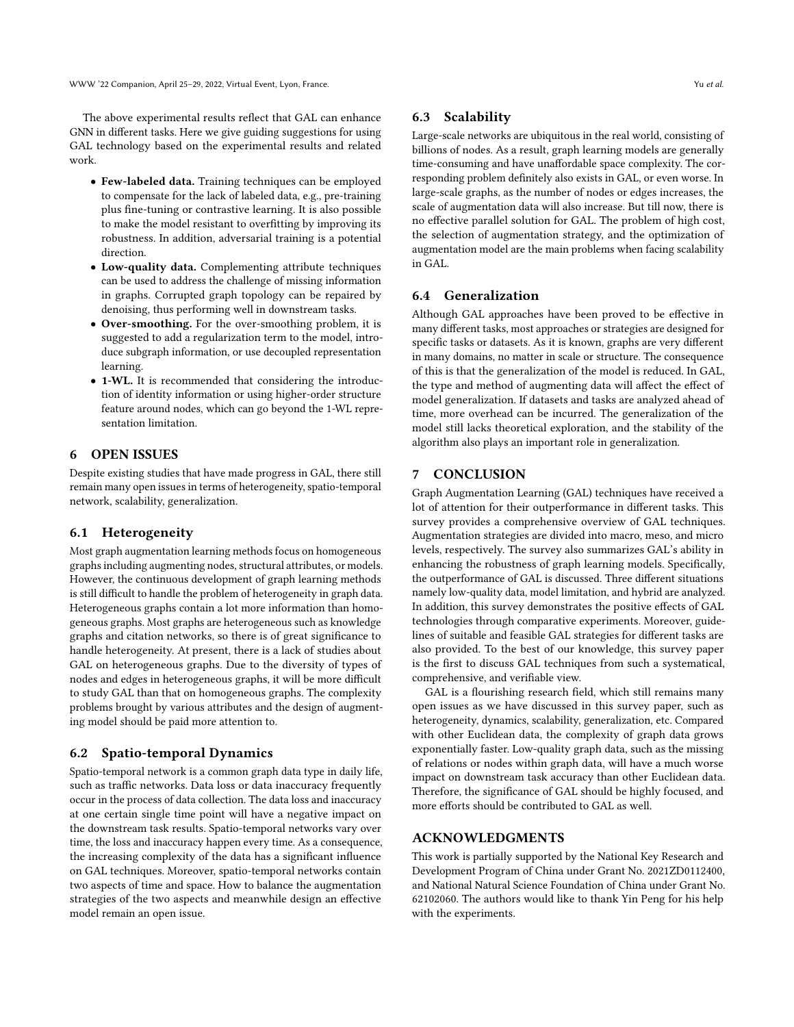The above experimental results reflect that GAL can enhance GNN in different tasks. Here we give guiding suggestions for using GAL technology based on the experimental results and related work.

- Few-labeled data. Training techniques can be employed to compensate for the lack of labeled data, e.g., pre-training plus fine-tuning or contrastive learning. It is also possible to make the model resistant to overfitting by improving its robustness. In addition, adversarial training is a potential direction.
- Low-quality data. Complementing attribute techniques can be used to address the challenge of missing information in graphs. Corrupted graph topology can be repaired by denoising, thus performing well in downstream tasks.
- Over-smoothing. For the over-smoothing problem, it is suggested to add a regularization term to the model, introduce subgraph information, or use decoupled representation learning.
- 1-WL. It is recommended that considering the introduction of identity information or using higher-order structure feature around nodes, which can go beyond the 1-WL representation limitation.

## <span id="page-7-0"></span>6 OPEN ISSUES

Despite existing studies that have made progress in GAL, there still remain many open issues in terms of heterogeneity, spatio-temporal network, scalability, generalization.

#### 6.1 Heterogeneity

Most graph augmentation learning methods focus on homogeneous graphs including augmenting nodes, structural attributes, or models. However, the continuous development of graph learning methods is still difficult to handle the problem of heterogeneity in graph data. Heterogeneous graphs contain a lot more information than homogeneous graphs. Most graphs are heterogeneous such as knowledge graphs and citation networks, so there is of great significance to handle heterogeneity. At present, there is a lack of studies about GAL on heterogeneous graphs. Due to the diversity of types of nodes and edges in heterogeneous graphs, it will be more difficult to study GAL than that on homogeneous graphs. The complexity problems brought by various attributes and the design of augmenting model should be paid more attention to.

#### 6.2 Spatio-temporal Dynamics

Spatio-temporal network is a common graph data type in daily life, such as traffic networks. Data loss or data inaccuracy frequently occur in the process of data collection. The data loss and inaccuracy at one certain single time point will have a negative impact on the downstream task results. Spatio-temporal networks vary over time, the loss and inaccuracy happen every time. As a consequence, the increasing complexity of the data has a significant influence on GAL techniques. Moreover, spatio-temporal networks contain two aspects of time and space. How to balance the augmentation strategies of the two aspects and meanwhile design an effective model remain an open issue.

#### 6.3 Scalability

Large-scale networks are ubiquitous in the real world, consisting of billions of nodes. As a result, graph learning models are generally time-consuming and have unaffordable space complexity. The corresponding problem definitely also exists in GAL, or even worse. In large-scale graphs, as the number of nodes or edges increases, the scale of augmentation data will also increase. But till now, there is no effective parallel solution for GAL. The problem of high cost, the selection of augmentation strategy, and the optimization of augmentation model are the main problems when facing scalability in GAL.

#### 6.4 Generalization

Although GAL approaches have been proved to be effective in many different tasks, most approaches or strategies are designed for specific tasks or datasets. As it is known, graphs are very different in many domains, no matter in scale or structure. The consequence of this is that the generalization of the model is reduced. In GAL, the type and method of augmenting data will affect the effect of model generalization. If datasets and tasks are analyzed ahead of time, more overhead can be incurred. The generalization of the model still lacks theoretical exploration, and the stability of the algorithm also plays an important role in generalization.

#### <span id="page-7-1"></span>7 CONCLUSION

Graph Augmentation Learning (GAL) techniques have received a lot of attention for their outperformance in different tasks. This survey provides a comprehensive overview of GAL techniques. Augmentation strategies are divided into macro, meso, and micro levels, respectively. The survey also summarizes GAL's ability in enhancing the robustness of graph learning models. Specifically, the outperformance of GAL is discussed. Three different situations namely low-quality data, model limitation, and hybrid are analyzed. In addition, this survey demonstrates the positive effects of GAL technologies through comparative experiments. Moreover, guidelines of suitable and feasible GAL strategies for different tasks are also provided. To the best of our knowledge, this survey paper is the first to discuss GAL techniques from such a systematical, comprehensive, and verifiable view.

GAL is a flourishing research field, which still remains many open issues as we have discussed in this survey paper, such as heterogeneity, dynamics, scalability, generalization, etc. Compared with other Euclidean data, the complexity of graph data grows exponentially faster. Low-quality graph data, such as the missing of relations or nodes within graph data, will have a much worse impact on downstream task accuracy than other Euclidean data. Therefore, the significance of GAL should be highly focused, and more efforts should be contributed to GAL as well.

## ACKNOWLEDGMENTS

This work is partially supported by the National Key Research and Development Program of China under Grant No. 2021ZD0112400, and National Natural Science Foundation of China under Grant No. 62102060. The authors would like to thank Yin Peng for his help with the experiments.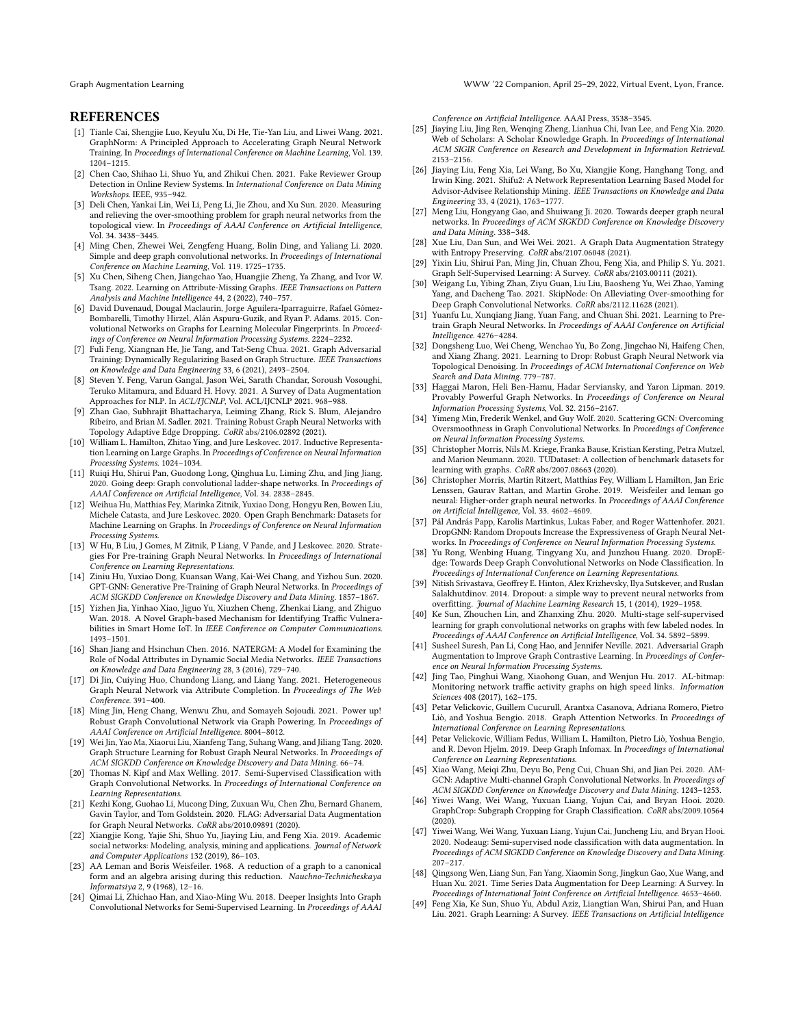Graph Augmentation Learning WWW '22 Companion, April 25–29, 2022, Virtual Event, Lyon, France.

#### **REFERENCES**

- <span id="page-8-46"></span>[1] Tianle Cai, Shengjie Luo, Keyulu Xu, Di He, Tie-Yan Liu, and Liwei Wang. 2021. GraphNorm: A Principled Approach to Accelerating Graph Neural Network Training. In Proceedings of International Conference on Machine Learning, Vol. 139. 1204–1215.
- <span id="page-8-7"></span>[2] Chen Cao, Shihao Li, Shuo Yu, and Zhikui Chen. 2021. Fake Reviewer Group Detection in Online Review Systems. In International Conference on Data Mining Workshops. IEEE, 935–942.
- <span id="page-8-12"></span>[3] Deli Chen, Yankai Lin, Wei Li, Peng Li, Jie Zhou, and Xu Sun. 2020. Measuring and relieving the over-smoothing problem for graph neural networks from the topological view. In Proceedings of AAAI Conference on Artificial Intelligence, Vol. 34. 3438–3445.
- <span id="page-8-35"></span>[4] Ming Chen, Zhewei Wei, Zengfeng Huang, Bolin Ding, and Yaliang Li. 2020. Simple and deep graph convolutional networks. In Proceedings of International Conference on Machine Learning, Vol. 119. 1725–1735.
- <span id="page-8-8"></span>[5] Xu Chen, Siheng Chen, Jiangchao Yao, Huangjie Zheng, Ya Zhang, and Ivor W. Tsang. 2022. Learning on Attribute-Missing Graphs. IEEE Transactions on Pattern Analysis and Machine Intelligence 44, 2 (2022), 740–757.
- <span id="page-8-42"></span>[6] David Duvenaud, Dougal Maclaurin, Jorge Aguilera-Iparraguirre, Rafael Gómez-Bombarelli, Timothy Hirzel, Alán Aspuru-Guzik, and Ryan P. Adams. 2015. Convolutional Networks on Graphs for Learning Molecular Fingerprints. In Proceedings of Conference on Neural Information Processing Systems. 2224–2232.
- <span id="page-8-9"></span>[7] Fuli Feng, Xiangnan He, Jie Tang, and Tat-Seng Chua. 2021. Graph Adversarial Training: Dynamically Regularizing Based on Graph Structure. IEEE Transactions on Knowledge and Data Engineering 33, 6 (2021), 2493–2504.
- <span id="page-8-14"></span>[8] Steven Y. Feng, Varun Gangal, Jason Wei, Sarath Chandar, Soroush Vosoughi, Teruko Mitamura, and Eduard H. Hovy. 2021. A Survey of Data Augmentation Approaches for NLP. In ACL/IJCNLP, Vol. ACL/IJCNLP 2021. 968–988.
- <span id="page-8-27"></span>[9] Zhan Gao, Subhrajit Bhattacharya, Leiming Zhang, Rick S. Blum, Alejandro Ribeiro, and Brian M. Sadler. 2021. Training Robust Graph Neural Networks with Topology Adaptive Edge Dropping. CoRR abs/2106.02892 (2021).
- <span id="page-8-41"></span>[10] William L. Hamilton, Zhitao Ying, and Jure Leskovec. 2017. Inductive Representation Learning on Large Graphs. In Proceedings of Conference on Neural Information Processing Systems. 1024–1034.
- <span id="page-8-36"></span>[11] Ruiqi Hu, Shirui Pan, Guodong Long, Qinghua Lu, Liming Zhu, and Jing Jiang.<br>2020. Going deep: Graph convolutional ladder-shape networks. In Proceedings of AAAI Conference on Artificial Intelligence, Vol. 34. 2838–2845.
- <span id="page-8-47"></span>[12] Weihua Hu, Matthias Fey, Marinka Zitnik, Yuxiao Dong, Hongyu Ren, Bowen Liu, Michele Catasta, and Jure Leskovec. 2020. Open Graph Benchmark: Datasets for Machine Learning on Graphs. In Proceedings of Conference on Neural Information Processing Systems.
- <span id="page-8-25"></span>[13] W Hu, B Liu, J Gomes, M Zitnik, P Liang, V Pande, and J Leskovec. 2020. Strategies For Pre-training Graph Neural Networks. In Proceedings of International Conference on Learning Representations.
- <span id="page-8-26"></span>[14] Ziniu Hu, Yuxiao Dong, Kuansan Wang, Kai-Wei Chang, and Yizhou Sun. 2020. GPT-GNN: Generative Pre-Training of Graph Neural Networks. In Proceedings of ACM SIGKDD Conference on Knowledge Discovery and Data Mining. 1857–1867.
- <span id="page-8-3"></span>[15] Yizhen Jia, Yinhao Xiao, Jiguo Yu, Xiuzhen Cheng, Zhenkai Liang, and Zhiguo Wan. 2018. A Novel Graph-based Mechanism for Identifying Traffic Vulnerabilities in Smart Home IoT. In IEEE Conference on Computer Communications. 1493–1501.
- <span id="page-8-2"></span>[16] Shan Jiang and Hsinchun Chen. 2016. NATERGM: A Model for Examining the Role of Nodal Attributes in Dynamic Social Media Networks. IEEE Transactions n Knowledge and Data Engineering 28, 3 (2016), 729-740.
- <span id="page-8-21"></span>[17] Di Jin, Cuiying Huo, Chundong Liang, and Liang Yang. 2021. Heterogeneous Graph Neural Network via Attribute Completion. In Proceedings of The Web Conference. 391–400.
- <span id="page-8-45"></span>[18] Ming Jin, Heng Chang, Wenwu Zhu, and Somayeh Sojoudi. 2021. Power up! Robust Graph Convolutional Network via Graph Powering. In Proceedings of AAAI Conference on Artificial Intelligence. 8004–8012.
- <span id="page-8-22"></span>[19] Wei Jin, Yao Ma, Xiaorui Liu, Xianfeng Tang, Suhang Wang, and Jiliang Tang. 2020. Graph Structure Learning for Robust Graph Neural Networks. In Proceedings of ACM SIGKDD Conference on Knowledge Discovery and Data Mining. 66–74.
- <span id="page-8-16"></span>[20] Thomas N. Kipf and Max Welling. 2017. Semi-Supervised Classification with Graph Convolutional Networks. In Proceedings of International Conference on Learning Representations.
- <span id="page-8-29"></span>[21] Kezhi Kong, Guohao Li, Mucong Ding, Zuxuan Wu, Chen Zhu, Bernard Ghanem, Gavin Taylor, and Tom Goldstein. 2020. FLAG: Adversarial Data Augmentation for Graph Neural Networks. CoRR abs/2010.09891 (2020).
- <span id="page-8-4"></span>[22] Xiangjie Kong, Yajie Shi, Shuo Yu, Jiaying Liu, and Feng Xia. 2019. Academic social networks: Modeling, analysis, mining and applications. Journal of Network and Computer Applications 132 (2019), 86–103.
- <span id="page-8-31"></span>[23] AA Leman and Boris Weisfeiler. 1968. A reduction of a graph to a canonical form and an algebra arising during this reduction. Nauchno-Technicheskaya Informatsiya 2, 9 (1968), 12–16.
- <span id="page-8-32"></span>[24] Qimai Li, Zhichao Han, and Xiao-Ming Wu. 2018. Deeper Insights Into Graph Convolutional Networks for Semi-Supervised Learning. In Proceedings of AAAI

Conference on Artificial Intelligence. AAAI Press, 3538–3545.

- <span id="page-8-5"></span>[25] Jiaying Liu, Jing Ren, Wenqing Zheng, Lianhua Chi, Ivan Lee, and Feng Xia. 2020. Web of Scholars: A Scholar Knowledge Graph. In Proceedings of International ACM SIGIR Conference on Research and Development in Information Retrieval. 2153–2156.
- <span id="page-8-6"></span>[26] Jiaying Liu, Feng Xia, Lei Wang, Bo Xu, Xiangjie Kong, Hanghang Tong, and Irwin King. 2021. Shifu2: A Network Representation Learning Based Model for Advisor-Advisee Relationship Mining. IEEE Transactions on Knowledge and Data Engineering 33, 4 (2021), 1763–1777.
- <span id="page-8-37"></span>[27] Meng Liu, Hongyang Gao, and Shuiwang Ji. 2020. Towards deeper graph neural networks. In Proceedings of ACM SIGKDD Conference on Knowledge Discovery and Data Mining. 338–348.
- <span id="page-8-33"></span>[28] Xue Liu, Dan Sun, and Wei Wei. 2021. A Graph Data Augmentation Strategy with Entropy Preserving. CoRR abs/2107.06048 (2021).
- <span id="page-8-13"></span>Yixin Liu, Shirui Pan, Ming Jin, Chuan Zhou, Feng Xia, and Philip S. Yu. 2021. Graph Self-Supervised Learning: A Survey. CoRR abs/2103.00111 (2021).
- <span id="page-8-34"></span>[30] Weigang Lu, Yibing Zhan, Ziyu Guan, Liu Liu, Baosheng Yu, Wei Zhao, Yaming Yang, and Dacheng Tao. 2021. SkipNode: On Alleviating Over-smoothing for Deep Graph Convolutional Networks. CoRR abs/2112.11628 (2021).
- <span id="page-8-10"></span>[31] Yuanfu Lu, Xunqiang Jiang, Yuan Fang, and Chuan Shi. 2021. Learning to Pretrain Graph Neural Networks. In Proceedings of AAAI Conference on Artificial Intelligence. 4276–4284.
- <span id="page-8-24"></span>[32] Dongsheng Luo, Wei Cheng, Wenchao Yu, Bo Zong, Jingchao Ni, Haifeng Chen, and Xiang Zhang. 2021. Learning to Drop: Robust Graph Neural Network via Topological Denoising. In Proceedings of ACM International Conference on Web Search and Data Mining. 779–787.
- <span id="page-8-44"></span>[33] Haggai Maron, Heli Ben-Hamu, Hadar Serviansky, and Yaron Lipman. 2019. Provably Powerful Graph Networks. In Proceedings of Conference on Neural Information Processing Systems, Vol. 32. 2156–2167.
- <span id="page-8-38"></span>[34] Yimeng Min, Frederik Wenkel, and Guy Wolf. 2020. Scattering GCN: Overcoming Oversmoothness in Graph Convolutional Networks. In Proceedings of Conference on Neural Information Processing Systems.
- <span id="page-8-48"></span>[35] Christopher Morris, Nils M. Kriege, Franka Bause, Kristian Kersting, Petra Mutzel, and Marion Neumann. 2020. TUDataset: A collection of benchmark datasets for learning with graphs. CoRR abs/2007.08663 (2020).
- <span id="page-8-40"></span>[36] Christopher Morris, Martin Ritzert, Matthias Fey, William L Hamilton, Jan Eric Lenssen, Gaurav Rattan, and Martin Grohe. 2019. Weisfeiler and leman go neural: Higher-order graph neural networks. In Proceedings of AAAI Conference on Artificial Intelligence, Vol. 33. 4602–4609.
- <span id="page-8-11"></span>[37] Pál András Papp, Karolis Martinkus, Lukas Faber, and Roger Wattenhofer. 2021. DropGNN: Random Dropouts Increase the Expressiveness of Graph Neural Networks. In Proceedings of Conference on Neural Information Processing Systems.
- <span id="page-8-17"></span>[38] Yu Rong, Wenbing Huang, Tingyang Xu, and Junzhou Huang. 2020. DropEdge: Towards Deep Graph Convolutional Networks on Node Classification. In Proceedings of International Conference on Learning Representations.
- <span id="page-8-18"></span>[39] Nitish Srivastava, Geoffrey E. Hinton, Alex Krizhevsky, Ilya Sutskever, and Ruslan Salakhutdinov. 2014. Dropout: a simple way to prevent neural networks from overfitting. Journal of Machine Learning Research 15, 1 (2014), 1929–1958.
- <span id="page-8-23"></span>[40] Ke Sun, Zhouchen Lin, and Zhanxing Zhu. 2020. Multi-stage self-supervised learning for graph convolutional networks on graphs with few labeled nodes. In Proceedings of AAAI Conference on Artificial Intelligence, Vol. 34. 5892–5899.
- <span id="page-8-30"></span>[41] Susheel Suresh, Pan Li, Cong Hao, and Jennifer Neville. 2021. Adversarial Graph Augmentation to Improve Graph Contrastive Learning. In Proceedings of Conference on Neural Information Processing Systems.
- <span id="page-8-1"></span>[42] Jing Tao, Pinghui Wang, Xiaohong Guan, and Wenjun Hu. 2017. AL-bitmap: Monitoring network traffic activity graphs on high speed links. Information Sciences 408 (2017), 162–175.
- <span id="page-8-43"></span>[43] Petar Velickovic, Guillem Cucurull, Arantxa Casanova, Adriana Romero, Pietro Liò, and Yoshua Bengio. 2018. Graph Attention Networks. In Proceedings of International Conference on Learning Representations.
- <span id="page-8-39"></span>[44] Petar Velickovic, William Fedus, William L. Hamilton, Pietro Liò, Yoshua Bengio, and R. Devon Hjelm. 2019. Deep Graph Infomax. In Proceedings of International Conference on Learning Representations.
- <span id="page-8-20"></span>[45] Xiao Wang, Meiqi Zhu, Deyu Bo, Peng Cui, Chuan Shi, and Jian Pei. 2020. AM-GCN: Adaptive Multi-channel Graph Convolutional Networks. In Proceedings of ACM SIGKDD Conference on Knowledge Discovery and Data Mining. 1243–1253.
- <span id="page-8-19"></span>[46] Yiwei Wang, Wei Wang, Yuxuan Liang, Yujun Cai, and Bryan Hooi. 2020. GraphCrop: Subgraph Cropping for Graph Classification. CoRR abs/2009.10564 (2020).
- <span id="page-8-28"></span>[47] Yiwei Wang, Wei Wang, Yuxuan Liang, Yujun Cai, Juncheng Liu, and Bryan Hooi. 2020. Nodeaug: Semi-supervised node classification with data augmentation. In Proceedings of ACM SIGKDD Conference on Knowledge Discovery and Data Mining. 207–217.
- <span id="page-8-15"></span>[48] Qingsong Wen, Liang Sun, Fan Yang, Xiaomin Song, Jingkun Gao, Xue Wang, and Huan Xu. 2021. Time Series Data Augmentation for Deep Learning: A Survey. In Proceedings of International Joint Conference on Artificial Intelligence. 4653–4660.
- <span id="page-8-0"></span>[49] Feng Xia, Ke Sun, Shuo Yu, Abdul Aziz, Liangtian Wan, Shirui Pan, and Huan Liu. 2021. Graph Learning: A Survey. IEEE Transactions on Artificial Intelligence